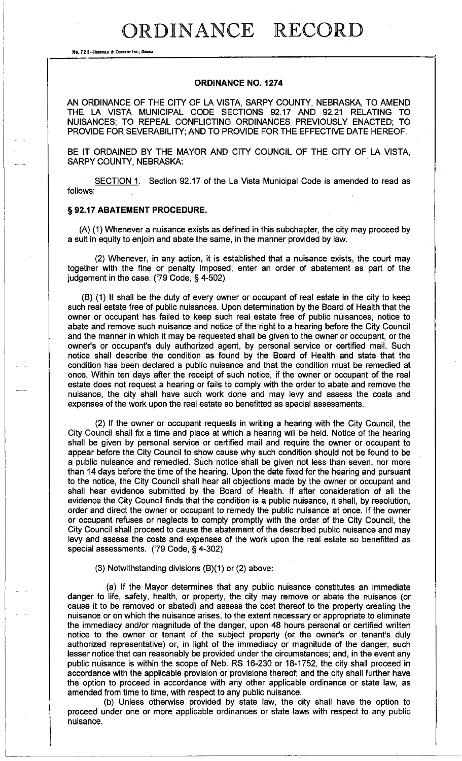## ORDINANCE RECORD

**NO. 72 8-RRFIB..D 8: COJl!'ANT INC., QIIAIIA** 

#### **ORDINANCE NO. 1274**

AN ORDINANCE OF THE CITY OF LA VISTA, SARPY COUNTY, NEBRASKA, TO AMEND THE LA VISTA MUNICIPAL CODE SECTIONS 92.17 AND 92.21 RELATING TO NUISANCES; TO REPEAL CONFLICTING ORDINANCES PREVIOUSLY ENACTED; TO PROVIDE FOR SEVERABILITY; AND TO PROVIDE FOR THE EFFECTIVE DATE HEREOF.

BE IT ORDAINED BY THE MAYOR AND CITY COUNCIL OF THE CITY OF LA VISTA, SARPY COUNTY, NEBRASKA:

SECTION 1. Section 92.17 of the La Vista Municipal Code is amended to read as follows:

#### § **92.17 ABATEMENT PROCEDURE.**

(A) ( 1) Whenever a nuisance exists as defined in this subchapter, the city may proceed by a suit in equity to enjoin and abate the same, in the manner provided by law.

(2) Whenever, in any action, it is established that a nuisance exists, the court may together with the fine or penalty imposed, enter an order of abatement as part of the judgement in the case. ('79 Code, § 4-502)

(8) (1) It shall be the duty of every owner or occupant of real estate in the city to keep such real estate free of public nuisances. Upon determination by the Board of Health that the owner or occupant has failed to keep such real estate free of public nuisances, notice to abate and remove such nuisance and notice of the right to a hearing before the City Council and the manner in which it may be requested shall be given to the owner or occupant, or the owner's or occupant's duly authorized agent, by personal service or certified mail. Such notice shall describe the condition as found by the Board of Health and state that the condition has been declared a public nuisance and that the condition must be remedied at once. Within ten days after the receipt of such notice, if the owner or occupant of the real estate does not request a hearing or fails to comply with the order to abate and remove the nuisance, the city shall have such work done and may levy and assess the costs and expenses of the work upon the real estate so benefitted as special assessments.

(2) If the owner or occupant requests in writing a hearing with the City Council, the City Council shall fix a time and place at which a hearing will be held. Notice of the hearing shall be given by personal service or certified mail and require the owner or occupant to appear before the City Council to show cause why such condition should not be found to be a public nuisance and remedied. Such notice shall be given not less than seven, nor more than 14 days before the time of the hearing. Upon the date fixed for the hearing and pursuant to the notice, the City Council shall hear all objections made by the owner or occupant and shall hear evidence submitted by the Board of Health. If after consideration of all the evidence the City Council finds that the condition is a public nuisance, it shall, by resolution, order and direct the owner or occupant to remedy the public nuisance at once. If the owner or occupant refuses or neglects to comply promptly with the order of the City Council, the City Council shall proceed to cause the abatement of the described public nuisance and may levy and assess the costs and expenses of the work upon the real estate so benefitted as special assessments. ('79 Code, § 4-302)

#### (3) Notwithstanding divisions  $(B)(1)$  or  $(2)$  above:

(a) If the Mayor determines that any public nuisance constitutes an immediate danger to life, safety, health, or property, the city may remove or abate the nuisance (or cause it to be removed or abated) and assess the cost thereof to the property creating the nuisance or on which the nuisance arises, to the extent necessary or appropriate to eliminate the immediacy and/or magnitude of the danger, upon 48 hours personal or certified written notice to the owner or tenant of the subject property (or the owner's or tenant's duly authorized representative) or, in light of the immediacy or magnitude of the danger, such lesser notice that can reasonably be provided under the circumstances; and, in the event any public nuisance is within the scope of Neb. RS 16-230 or 18-1752, the city shall proceed in accordance with the applicable provision or provisions thereof; and the city shall further have the option to proceed in accordance with any other applicable ordinance or state law, as amended from time to time, with respect to any public nuisance.

{b) Unless otherwise provided by state law, the city shall have the option to proceed under one or more applicable ordinances or state laws with respect to any public nuisance.